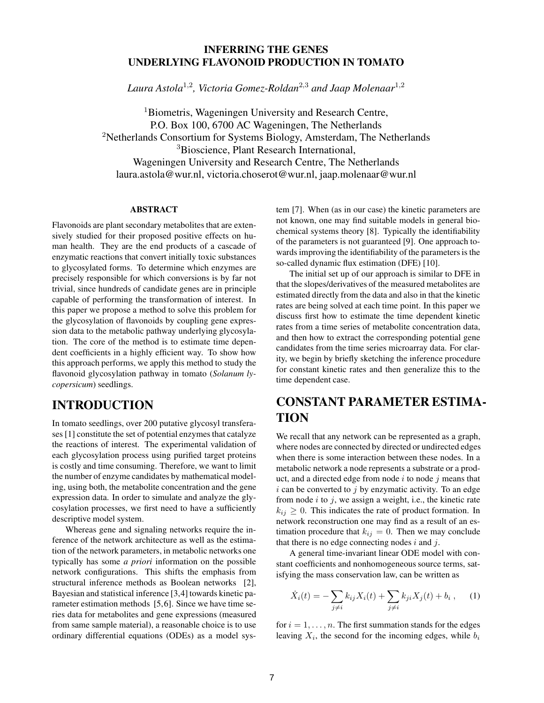### **INFERRING THE GENES UNDERLYING FLAVONOID PRODUCTION IN TOMATO**

*Laura Astola*<sup>1</sup>,<sup>2</sup>*, Victoria Gomez-Roldan*<sup>2</sup>,<sup>3</sup> *and Jaap Molenaar*<sup>1</sup>,<sup>2</sup>

<sup>1</sup>Biometris, Wageningen University and Research Centre, P.O. Box 100, 6700 AC Wageningen, The Netherlands <sup>2</sup>Netherlands Consortium for Systems Biology, Amsterdam, The Netherlands <sup>3</sup>Bioscience, Plant Research International, Wageningen University and Research Centre, The Netherlands laura.astola@wur.nl, victoria.choserot@wur.nl, jaap.molenaar@wur.nl

#### **ABSTRACT**

Flavonoids are plant secondary metabolites that are extensively studied for their proposed positive effects on human health. They are the end products of a cascade of enzymatic reactions that convert initially toxic substances to glycosylated forms. To determine which enzymes are precisely responsible for which conversions is by far not trivial, since hundreds of candidate genes are in principle capable of performing the transformation of interest. In this paper we propose a method to solve this problem for the glycosylation of flavonoids by coupling gene expression data to the metabolic pathway underlying glycosylation. The core of the method is to estimate time dependent coefficients in a highly efficient way. To show how this approach performs, we apply this method to study the flavonoid glycosylation pathway in tomato (*Solanum lycopersicum*) seedlings.

### **INTRODUCTION**

In tomato seedlings, over 200 putative glycosyl transferases [1] constitute the set of potential enzymes that catalyze the reactions of interest. The experimental validation of each glycosylation process using purified target proteins is costly and time consuming. Therefore, we want to limit the number of enzyme candidates by mathematical modeling, using both, the metabolite concentration and the gene expression data. In order to simulate and analyze the glycosylation processes, we first need to have a sufficiently descriptive model system.

Whereas gene and signaling networks require the inference of the network architecture as well as the estimation of the network parameters, in metabolic networks one typically has some *a priori* information on the possible network configurations. This shifts the emphasis from structural inference methods as Boolean networks [2], Bayesian and statistical inference [3,4] towards kinetic parameter estimation methods [5,6]. Since we have time series data for metabolites and gene expressions (measured from same sample material), a reasonable choice is to use ordinary differential equations (ODEs) as a model system [7]. When (as in our case) the kinetic parameters are not known, one may find suitable models in general biochemical systems theory [8]. Typically the identifiability of the parameters is not guaranteed [9]. One approach towards improving the identifiability of the parameters is the so-called dynamic flux estimation (DFE) [10].

The initial set up of our approach is similar to DFE in that the slopes/derivatives of the measured metabolites are estimated directly from the data and also in that the kinetic rates are being solved at each time point. In this paper we discuss first how to estimate the time dependent kinetic rates from a time series of metabolite concentration data, and then how to extract the corresponding potential gene candidates from the time series microarray data. For clarity, we begin by briefly sketching the inference procedure for constant kinetic rates and then generalize this to the time dependent case.

# **CONSTANT PARAMETER ESTIMA-TION**

We recall that any network can be represented as a graph, where nodes are connected by directed or undirected edges when there is some interaction between these nodes. In a metabolic network a node represents a substrate or a product, and a directed edge from node  $i$  to node  $j$  means that  $i$  can be converted to  $j$  by enzymatic activity. To an edge from node  $i$  to  $j$ , we assign a weight, i.e., the kinetic rate  $k_{ij} \geq 0$ . This indicates the rate of product formation. In network reconstruction one may find as a result of an estimation procedure that  $k_{ij} = 0$ . Then we may conclude that there is no edge connecting nodes  $i$  and  $j$ .

A general time-invariant linear ODE model with constant coefficients and nonhomogeneous source terms, satisfying the mass conservation law, can be written as

$$
\dot{X}_i(t) = -\sum_{j \neq i} k_{ij} X_i(t) + \sum_{j \neq i} k_{ji} X_j(t) + b_i , \quad (1)
$$

for  $i = 1, \ldots, n$ . The first summation stands for the edges leaving  $X_i$ , the second for the incoming edges, while  $b_i$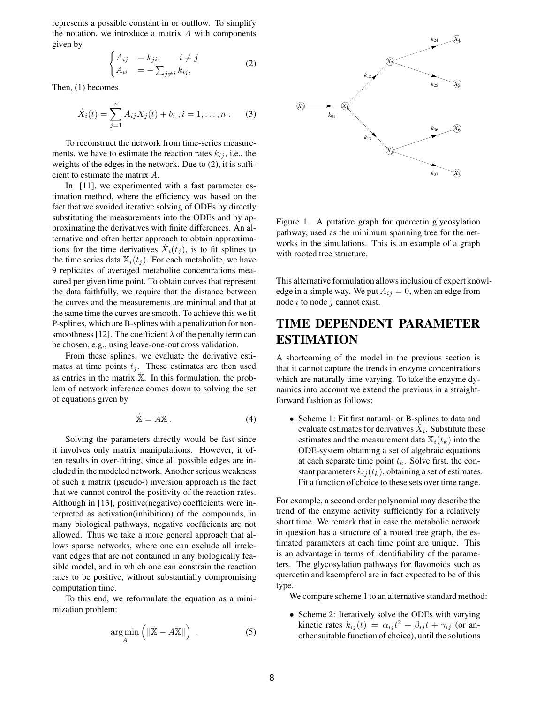represents a possible constant in or outflow. To simplify the notation, we introduce a matrix  $A$  with components given by

$$
\begin{cases} A_{ij} &= k_{ji}, \quad i \neq j \\ A_{ii} &= -\sum_{j \neq i} k_{ij}, \end{cases}
$$
 (2)

Then, (1) becomes

$$
\dot{X}_i(t) = \sum_{j=1}^n A_{ij} X_j(t) + b_i, i = 1, \dots, n. \tag{3}
$$

To reconstruct the network from time-series measurements, we have to estimate the reaction rates  $k_{ij}$ , i.e., the weights of the edges in the network. Due to (2), it is sufficient to estimate the matrix A.

In [11], we experimented with a fast parameter estimation method, where the efficiency was based on the fact that we avoided iterative solving of ODEs by directly substituting the measurements into the ODEs and by approximating the derivatives with finite differences. An alternative and often better approach to obtain approximations for the time derivatives  $\dot{X}_i(t_i)$ , is to fit splines to the time series data  $\mathbb{X}_i(t_i)$ . For each metabolite, we have 9 replicates of averaged metabolite concentrations measured per given time point. To obtain curves that represent the data faithfully, we require that the distance between the curves and the measurements are minimal and that at the same time the curves are smooth. To achieve this we fit P-splines, which are B-splines with a penalization for nonsmoothness [12]. The coefficient  $\lambda$  of the penalty term can be chosen, e.g., using leave-one-out cross validation.

From these splines, we evaluate the derivative estimates at time points  $t_i$ . These estimates are then used as entries in the matrix  $\dot{\mathbb{X}}$ . In this formulation, the problem of network inference comes down to solving the set of equations given by

$$
\dot{\mathbf{X}} = A\mathbf{X} \,. \tag{4}
$$

Solving the parameters directly would be fast since it involves only matrix manipulations. However, it often results in over-fitting, since all possible edges are included in the modeled network. Another serious weakness of such a matrix (pseudo-) inversion approach is the fact that we cannot control the positivity of the reaction rates. Although in [13], positive(negative) coefficients were interpreted as activation(inhibition) of the compounds, in many biological pathways, negative coefficients are not allowed. Thus we take a more general approach that allows sparse networks, where one can exclude all irrelevant edges that are not contained in any biologically feasible model, and in which one can constrain the reaction rates to be positive, without substantially compromising computation time.

To this end, we reformulate the equation as a minimization problem:

$$
\underset{A}{\arg\min} \left( ||\dot{\mathbf{X}} - A\mathbf{X}|| \right) . \tag{5}
$$



Figure 1. A putative graph for quercetin glycosylation pathway, used as the minimum spanning tree for the networks in the simulations. This is an example of a graph with rooted tree structure.

This alternative formulation allows inclusion of expert knowledge in a simple way. We put  $A_{ij} = 0$ , when an edge from node  $i$  to node  $j$  cannot exist.

# **TIME DEPENDENT PARAMETER ESTIMATION**

A shortcoming of the model in the previous section is that it cannot capture the trends in enzyme concentrations which are naturally time varying. To take the enzyme dynamics into account we extend the previous in a straightforward fashion as follows:

• Scheme 1: Fit first natural- or B-splines to data and evaluate estimates for derivatives  $X_i$ . Substitute these estimates and the measurement data  $\mathbb{X}_i(t_k)$  into the ODE-system obtaining a set of algebraic equations at each separate time point  $t_k$ . Solve first, the constant parameters  $k_{ij}(t_k)$ , obtaining a set of estimates. Fit a function of choice to these sets over time range.

For example, a second order polynomial may describe the trend of the enzyme activity sufficiently for a relatively short time. We remark that in case the metabolic network in question has a structure of a rooted tree graph, the estimated parameters at each time point are unique. This is an advantage in terms of identifiability of the parameters. The glycosylation pathways for flavonoids such as quercetin and kaempferol are in fact expected to be of this type.

We compare scheme 1 to an alternative standard method:

• Scheme 2: Iteratively solve the ODEs with varying kinetic rates  $k_{ij}(t) = \alpha_{ij} t^2 + \beta_{ij} t + \gamma_{ij}$  (or another suitable function of choice), until the solutions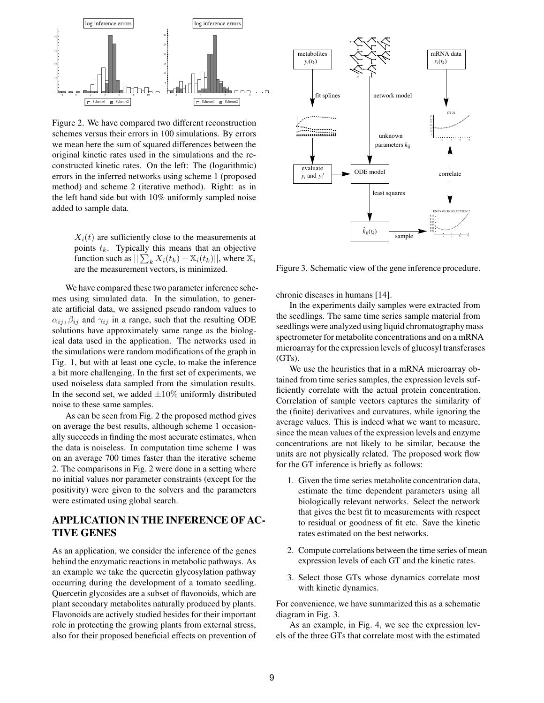

Figure 2. We have compared two different reconstruction schemes versus their errors in 100 simulations. By errors we mean here the sum of squared differences between the original kinetic rates used in the simulations and the reconstructed kinetic rates. On the left: The (logarithmic) errors in the inferred networks using scheme 1 (proposed method) and scheme 2 (iterative method). Right: as in the left hand side but with 10% uniformly sampled noise added to sample data.

 $X_i(t)$  are sufficiently close to the measurements at points  $t_k$ . Typically this means that an objective function such as  $|| \sum_{k} X_i(t_k) - \mathbb{X}_i(t_k)||$ , where  $\mathbb{X}_i$ are the measurement vectors, is minimized.

We have compared these two parameter inference schemes using simulated data. In the simulation, to generate artificial data, we assigned pseudo random values to  $\alpha_{ij}, \beta_{ij}$  and  $\gamma_{ij}$  in a range, such that the resulting ODE solutions have approximately same range as the biological data used in the application. The networks used in the simulations were random modifications of the graph in Fig. 1, but with at least one cycle, to make the inference a bit more challenging. In the first set of experiments, we used noiseless data sampled from the simulation results. In the second set, we added  $\pm 10\%$  uniformly distributed noise to these same samples.

As can be seen from Fig. 2 the proposed method gives on average the best results, although scheme 1 occasionally succeeds in finding the most accurate estimates, when the data is noiseless. In computation time scheme 1 was on an average 700 times faster than the iterative scheme 2. The comparisons in Fig. 2 were done in a setting where no initial values nor parameter constraints (except for the positivity) were given to the solvers and the parameters were estimated using global search.

### **APPLICATION IN THE INFERENCE OF AC-TIVE GENES**

As an application, we consider the inference of the genes behind the enzymatic reactions in metabolic pathways. As an example we take the quercetin glycosylation pathway occurring during the development of a tomato seedling. Quercetin glycosides are a subset of flavonoids, which are plant secondary metabolites naturally produced by plants. Flavonoids are actively studied besides for their important role in protecting the growing plants from external stress, also for their proposed beneficial effects on prevention of



Figure 3. Schematic view of the gene inference procedure.

chronic diseases in humans [14].

In the experiments daily samples were extracted from the seedlings. The same time series sample material from seedlings were analyzed using liquid chromatography mass spectrometer for metabolite concentrations and on a mRNA microarray for the expression levels of glucosyl transferases  $(GTs)$ .

We use the heuristics that in a mRNA microarray obtained from time series samples, the expression levels sufficiently correlate with the actual protein concentration. Correlation of sample vectors captures the similarity of the (finite) derivatives and curvatures, while ignoring the average values. This is indeed what we want to measure, since the mean values of the expression levels and enzyme concentrations are not likely to be similar, because the units are not physically related. The proposed work flow for the GT inference is briefly as follows:

- 1. Given the time series metabolite concentration data, estimate the time dependent parameters using all biologically relevant networks. Select the network that gives the best fit to measurements with respect to residual or goodness of fit etc. Save the kinetic rates estimated on the best networks.
- 2. Compute correlations between the time series of mean expression levels of each GT and the kinetic rates.
- 3. Select those GTs whose dynamics correlate most with kinetic dynamics.

For convenience, we have summarized this as a schematic diagram in Fig. 3.

As an example, in Fig. 4, we see the expression levels of the three GTs that correlate most with the estimated